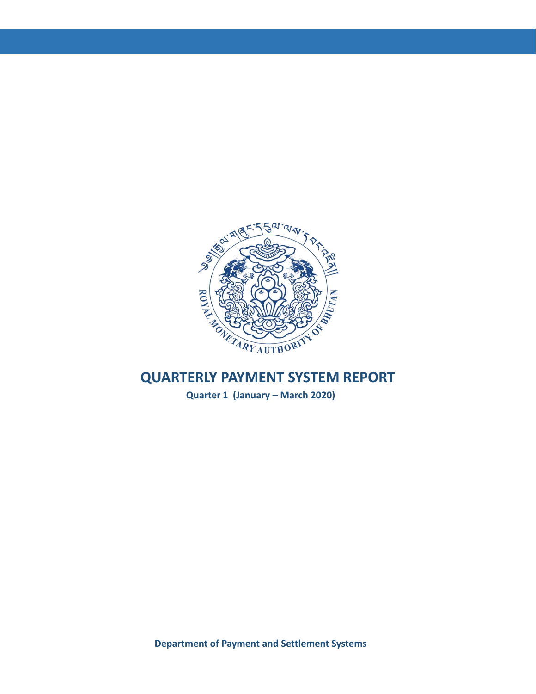

**Quarter 1 (January – March 2020)**

**Department of Payment and Settlement Systems**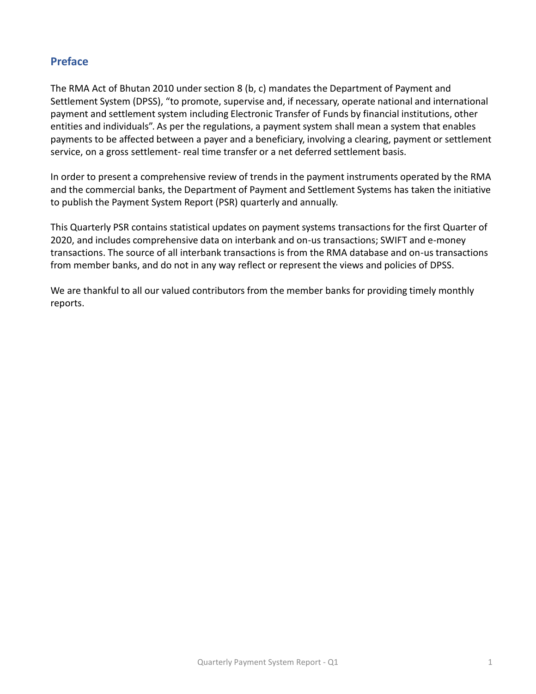## **Preface**

The RMA Act of Bhutan 2010 under section 8 (b, c) mandates the Department of Payment and Settlement System (DPSS), "to promote, supervise and, if necessary, operate national and international payment and settlement system including Electronic Transfer of Funds by financial institutions, other entities and individuals". As per the regulations, a payment system shall mean a system that enables payments to be affected between a payer and a beneficiary, involving a clearing, payment or settlement service, on a gross settlement- real time transfer or a net deferred settlement basis.

In order to present a comprehensive review of trends in the payment instruments operated by the RMA and the commercial banks, the Department of Payment and Settlement Systems has taken the initiative to publish the Payment System Report (PSR) quarterly and annually.

This Quarterly PSR contains statistical updates on payment systems transactions for the first Quarter of 2020, and includes comprehensive data on interbank and on-us transactions; SWIFT and e-money transactions. The source of all interbank transactions is from the RMA database and on-us transactions from member banks, and do not in any way reflect or represent the views and policies of DPSS.

We are thankful to all our valued contributors from the member banks for providing timely monthly reports.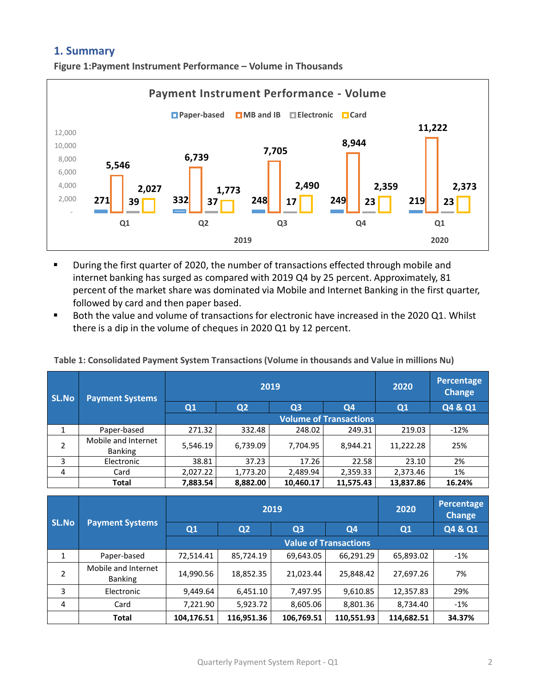## **1. Summary**

**Figure 1:Payment Instrument Performance – Volume in Thousands**



- During the first quarter of 2020, the number of transactions effected through mobile and internet banking has surged as compared with 2019 Q4 by 25 percent. Approximately, 81 percent of the market share was dominated via Mobile and Internet Banking in the first quarter, followed by card and then paper based.
- Both the value and volume of transactions for electronic have increased in the 2020 Q1. Whilst there is a dip in the volume of cheques in 2020 Q1 by 12 percent.

|  | Table 1: Consolidated Payment System Transactions (Volume in thousands and Value in millions Nu) |  |
|--|--------------------------------------------------------------------------------------------------|--|
|--|--------------------------------------------------------------------------------------------------|--|

| SL.No.         | <b>Payment Systems</b>                |          | 2019                          | 2020      | Percentage<br><b>Change</b> |           |         |  |  |  |  |  |
|----------------|---------------------------------------|----------|-------------------------------|-----------|-----------------------------|-----------|---------|--|--|--|--|--|
|                |                                       | Q1       | Q <sub>2</sub>                | $Q_3$     | Q4                          | Q1        | Q4 & Q1 |  |  |  |  |  |
|                |                                       |          | <b>Volume of Transactions</b> |           |                             |           |         |  |  |  |  |  |
| 1              | Paper-based                           | 271.32   | 332.48                        | 248.02    | 249.31                      | 219.03    | $-12%$  |  |  |  |  |  |
| 2              | Mobile and Internet<br><b>Banking</b> | 5,546.19 | 6,739.09                      | 7,704.95  | 8,944.21                    | 11,222.28 | 25%     |  |  |  |  |  |
| 3              | Electronic                            | 38.81    | 37.23                         | 17.26     | 22.58                       | 23.10     | 2%      |  |  |  |  |  |
| $\overline{4}$ | Card                                  | 2,027.22 | 1,773.20                      | 2,489.94  | 2,359.33                    | 2,373.46  | 1%      |  |  |  |  |  |
|                | <b>Total</b>                          | 7,883.54 | 8,882.00                      | 10,460.17 | 11,575.43                   | 13,837.86 | 16.24%  |  |  |  |  |  |

| <b>SL.No</b> |                                       |                              | 2019           | 2020           | Percentage<br><b>Change</b> |            |         |  |  |  |  |
|--------------|---------------------------------------|------------------------------|----------------|----------------|-----------------------------|------------|---------|--|--|--|--|
|              | <b>Payment Systems</b>                | Q1                           | Q <sub>2</sub> | Q <sub>3</sub> | Q <sub>4</sub>              | Q1         | Q4 & Q1 |  |  |  |  |
|              |                                       | <b>Value of Transactions</b> |                |                |                             |            |         |  |  |  |  |
| 1            | Paper-based                           | 72,514.41                    | 85,724.19      | 69,643.05      | 66,291.29                   | 65,893.02  | $-1%$   |  |  |  |  |
| 2            | Mobile and Internet<br><b>Banking</b> | 14,990.56                    | 18,852.35      | 21,023.44      | 25,848.42                   | 27,697.26  | 7%      |  |  |  |  |
| 3            | Electronic                            | 9,449.64                     | 6,451.10       | 7,497.95       | 9,610.85                    | 12,357.83  | 29%     |  |  |  |  |
| 4            | Card                                  | 7,221.90                     | 5,923.72       | 8,605.06       | 8,801.36                    | 8,734.40   | $-1%$   |  |  |  |  |
|              | <b>Total</b>                          | 104,176.51                   | 116,951.36     | 106,769.51     | 110,551.93                  | 114,682.51 | 34.37%  |  |  |  |  |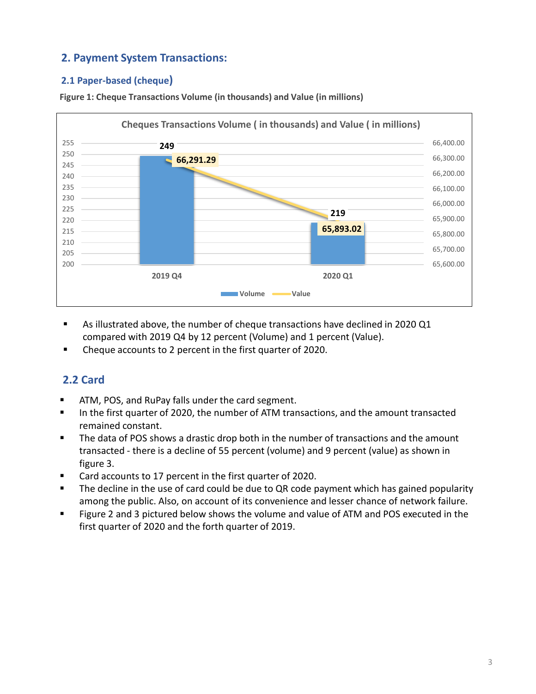# **2. Payment System Transactions:**

## **2.1 Paper-based (cheque)**



**Figure 1: Cheque Transactions Volume (in thousands) and Value (in millions)**

- As illustrated above, the number of cheque transactions have declined in 2020 Q1 compared with 2019 Q4 by 12 percent (Volume) and 1 percent (Value).
- Cheque accounts to 2 percent in the first quarter of 2020.

# **2.2 Card**

- ATM, POS, and RuPay falls under the card segment.
- In the first quarter of 2020, the number of ATM transactions, and the amount transacted remained constant.
- The data of POS shows a drastic drop both in the number of transactions and the amount transacted - there is a decline of 55 percent (volume) and 9 percent (value) as shown in figure 3.
- Card accounts to 17 percent in the first quarter of 2020.
- The decline in the use of card could be due to QR code payment which has gained popularity among the public. Also, on account of its convenience and lesser chance of network failure.
- Figure 2 and 3 pictured below shows the volume and value of ATM and POS executed in the first quarter of 2020 and the forth quarter of 2019.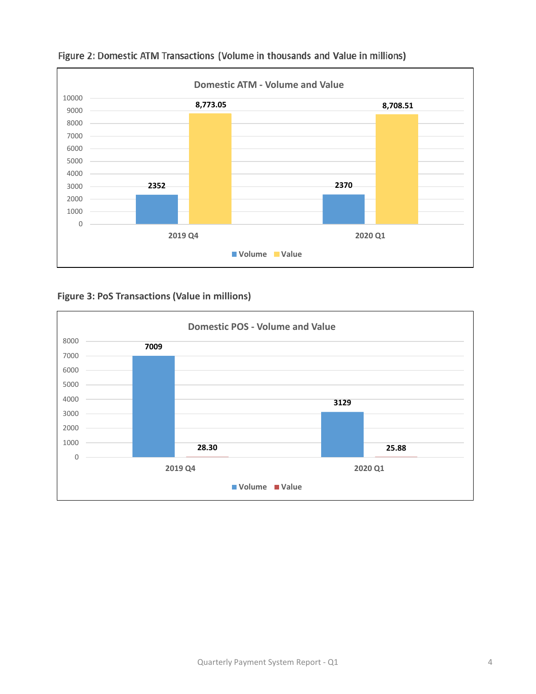

## Figure 2: Domestic ATM Transactions (Volume in thousands and Value in millions)

**Figure 3: PoS Transactions (Value in millions)**

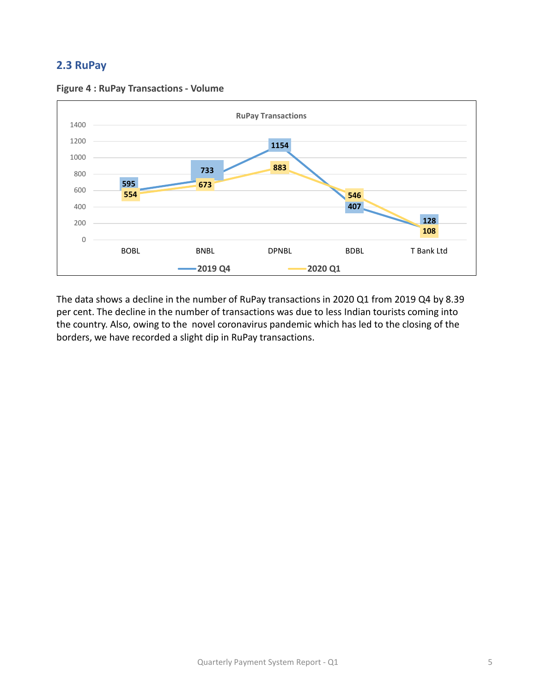# **2.3 RuPay**



**Figure 4 : RuPay Transactions - Volume**

The data shows a decline in the number of RuPay transactions in 2020 Q1 from 2019 Q4 by 8.39 per cent. The decline in the number of transactions was due to less Indian tourists coming into the country. Also, owing to the novel coronavirus pandemic which has led to the closing of the borders, we have recorded a slight dip in RuPay transactions.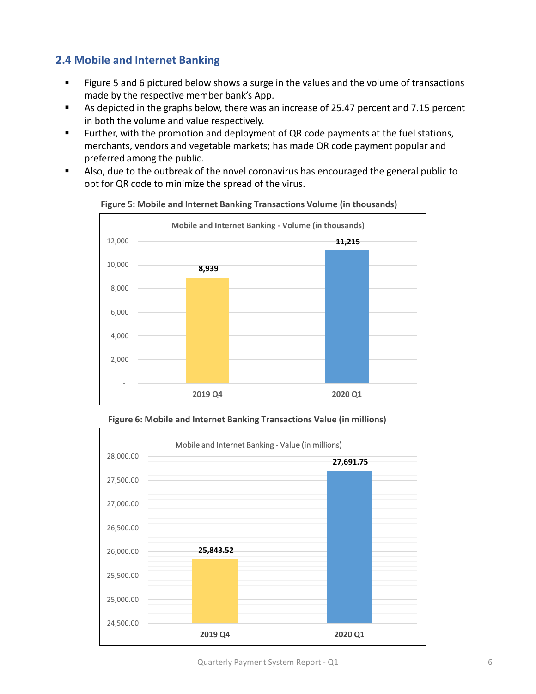# **2.4 Mobile and Internet Banking**

- Figure 5 and 6 pictured below shows a surge in the values and the volume of transactions made by the respective member bank's App.
- As depicted in the graphs below, there was an increase of 25.47 percent and 7.15 percent in both the volume and value respectively.
- Further, with the promotion and deployment of QR code payments at the fuel stations, merchants, vendors and vegetable markets; has made QR code payment popular and preferred among the public.
- Also, due to the outbreak of the novel coronavirus has encouraged the general public to opt for QR code to minimize the spread of the virus.



**Figure 5: Mobile and Internet Banking Transactions Volume (in thousands)**



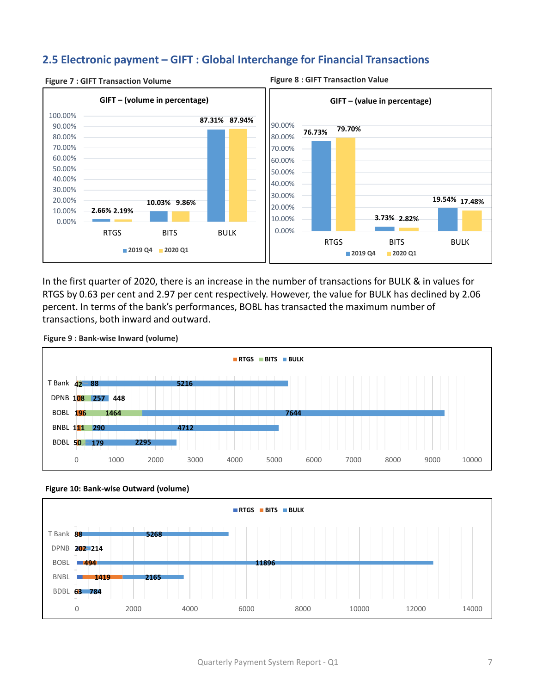# **2.5 Electronic payment – GIFT : Global Interchange for Financial Transactions**



#### **Figure 7 : GIFT Transaction Volume Figure 8 : GIFT Transaction Value**

In the first quarter of 2020, there is an increase in the number of transactions for BULK & in values for RTGS by 0.63 per cent and 2.97 per cent respectively. However, the value for BULK has declined by 2.06 percent. In terms of the bank's performances, BOBL has transacted the maximum number of transactions, both inward and outward.



**Figure 9 : Bank-wise Inward (volume)** 



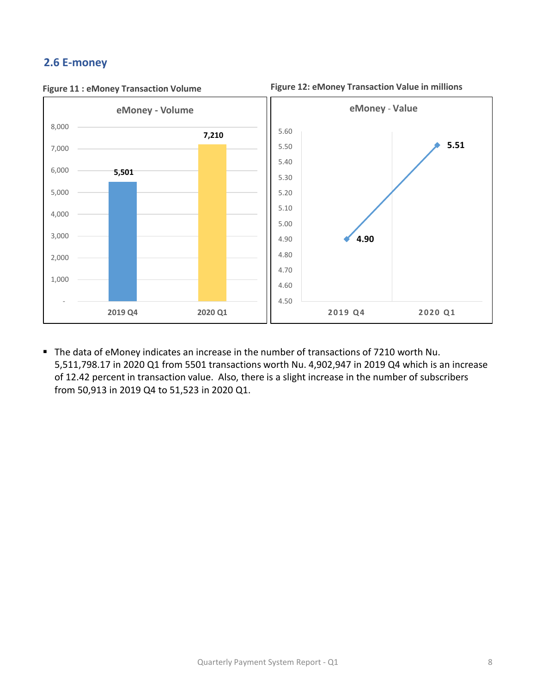# **2.6 E-money**



**Figure 11 : eMoney Transaction Volume Figure 12: eMoney Transaction Value in millions**

■ The data of eMoney indicates an increase in the number of transactions of 7210 worth Nu. 5,511,798.17 in 2020 Q1 from 5501 transactions worth Nu. 4,902,947 in 2019 Q4 which is an increase of 12.42 percent in transaction value. Also, there is a slight increase in the number of subscribers from 50,913 in 2019 Q4 to 51,523 in 2020 Q1.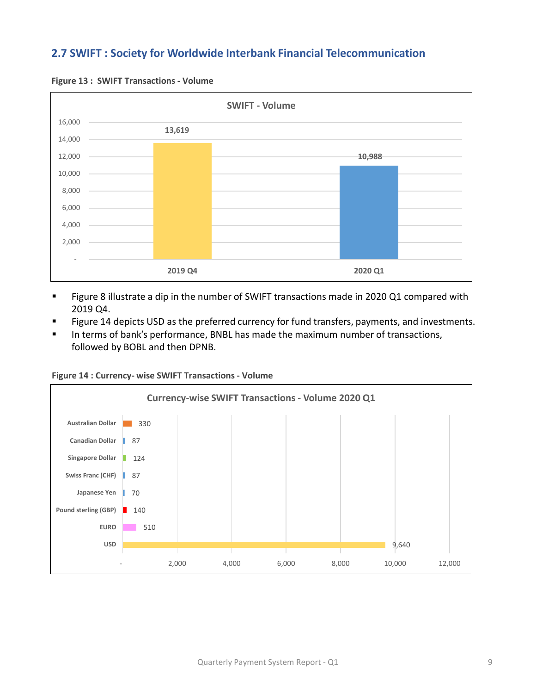# **2.7 SWIFT : Society for Worldwide Interbank Financial Telecommunication**



**Figure 13 : SWIFT Transactions - Volume** 

- Figure 8 illustrate a dip in the number of SWIFT transactions made in 2020 Q1 compared with 2019 Q4.
- Figure 14 depicts USD as the preferred currency for fund transfers, payments, and investments.
- In terms of bank's performance, BNBL has made the maximum number of transactions, followed by BOBL and then DPNB.



**Figure 14 : Currency- wise SWIFT Transactions - Volume**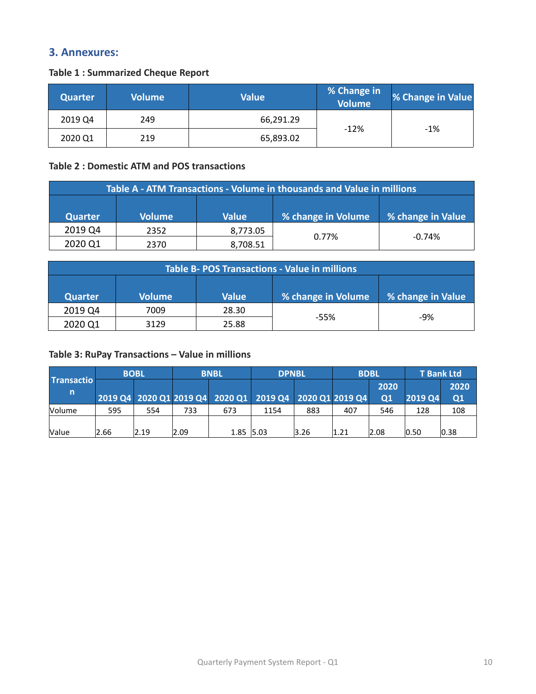## **3. Annexures:**

#### **Table 1 : Summarized Cheque Report**

| <b>Quarter</b> | <b>Volume</b> | <b>Value</b> | <b>% Change in</b><br>Volume <sup>1</sup> | % Change in Value |
|----------------|---------------|--------------|-------------------------------------------|-------------------|
| 2019 Q4        | 249           | 66,291.29    |                                           |                   |
| 2020 Q1        | 219           | 65,893.02    | $-12%$                                    | $-1%$             |

### **Table 2 : Domestic ATM and POS transactions**

|                | Table A - ATM Transactions - Volume in thousands and Value in millions |              |                    |                           |  |  |  |  |  |  |  |
|----------------|------------------------------------------------------------------------|--------------|--------------------|---------------------------|--|--|--|--|--|--|--|
|                |                                                                        |              |                    |                           |  |  |  |  |  |  |  |
| <b>Quarter</b> | <b>Volume</b>                                                          | <b>Value</b> | % change in Volume | <b>So change in Value</b> |  |  |  |  |  |  |  |
| 2019 Q4        | 2352                                                                   | 8,773.05     | $0.77\%$           | $-0.74%$                  |  |  |  |  |  |  |  |
| 2020 Q1        | 2370                                                                   | 8,708.51     |                    |                           |  |  |  |  |  |  |  |

|                | <b>Table B- POS Transactions - Value in millions</b> |              |                    |                   |  |  |  |  |  |  |  |
|----------------|------------------------------------------------------|--------------|--------------------|-------------------|--|--|--|--|--|--|--|
|                |                                                      |              |                    |                   |  |  |  |  |  |  |  |
| <b>Quarter</b> | <b>Volume</b>                                        | <b>Value</b> | % change in Volume | S change in Value |  |  |  |  |  |  |  |
| 2019 Q4        | 7009                                                 | 28.30        | $-55%$             | $-9%$             |  |  |  |  |  |  |  |
| 2020 Q1        | 3129                                                 | 25.88        |                    |                   |  |  |  |  |  |  |  |

## **Table 3: RuPay Transactions – Value in millions**

|                        | <b>BOBL</b> |      | <b>BNBL</b> |             | <b>DPNBL</b>                                            |      |      | <b>BDBL</b>        |                | <b>T</b> Bank Ltd     |
|------------------------|-------------|------|-------------|-------------|---------------------------------------------------------|------|------|--------------------|----------------|-----------------------|
| <b>Transactio</b><br>n |             |      |             |             | 2019 Q4 2020 Q1 2019 Q4 2020 Q1 2019 Q4 2020 Q1 2019 Q4 |      |      | 2020<br>$\Omega$ 1 | <b>2019 Q4</b> | 2020<br>$\mathbf{Q1}$ |
| <b>Volume</b>          | 595         | 554  | 733         | 673         | 1154                                                    | 883  | 407  | 546                | 128            | 108                   |
| <b>Value</b>           | 2.66        | 2.19 | 2.09        | $1.85$ 5.03 |                                                         | 3.26 | 1.21 | 2.08               | 0.50           | 0.38                  |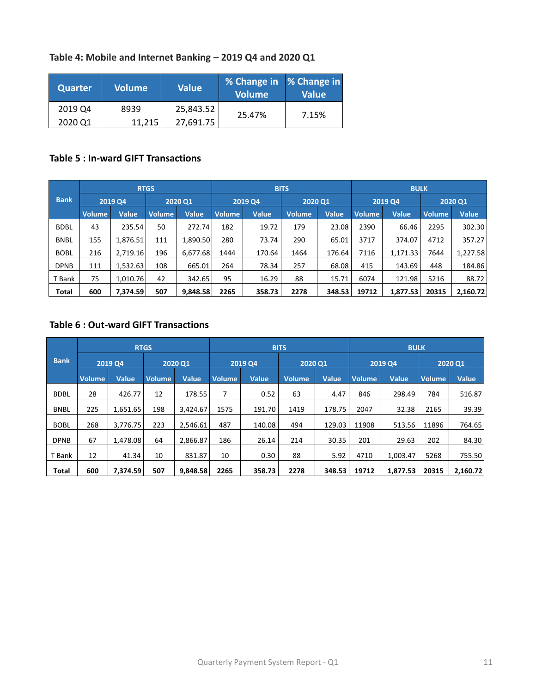### **Table 4: Mobile and Internet Banking – 2019 Q4 and 2020 Q1**

| Quarter | <b>Volume</b> | <b>Value</b> | % Change in   % Change in  <br><b>Volume</b> | <b>Value</b> |
|---------|---------------|--------------|----------------------------------------------|--------------|
| 2019 Q4 | 8939          | 25,843.52    | 25.47%                                       | 7.15%        |
| 2020 Q1 | 11.215        | 27,691.75    |                                              |              |

## **Table 5 : In-ward GIFT Transactions**

|              |         |              | <b>RTGS</b>   |              |               |              | <b>BITS</b>    |              | <b>BULK</b>   |              |               |              |
|--------------|---------|--------------|---------------|--------------|---------------|--------------|----------------|--------------|---------------|--------------|---------------|--------------|
| <b>Bank</b>  | 2019 Q4 |              | 2020 Q1       |              | 2019 Q4       |              | <b>2020 Q1</b> |              |               | 2019 Q4      |               | 2020 Q1      |
|              | Volume  | <b>Value</b> | <b>Volume</b> | <b>Value</b> | <b>Volume</b> | <b>Value</b> | <b>Volume</b>  | <b>Value</b> | <b>Volume</b> | <b>Value</b> | <b>Volume</b> | <b>Value</b> |
| <b>BDBL</b>  | 43      | 235.54       | 50            | 272.74       | 182           | 19.72        | 179            | 23.08        | 2390          | 66.46        | 2295          | 302.30       |
| <b>BNBL</b>  | 155     | 1,876.51     | 111           | 1,890.50     | 280           | 73.74        | 290            | 65.01        | 3717          | 374.07       | 4712          | 357.27       |
| <b>BOBL</b>  | 216     | 2,719.16     | 196           | 6.677.68     | 1444          | 170.64       | 1464           | 176.64       | 7116          | 1,171.33     | 7644          | 1,227.58     |
| <b>DPNB</b>  | 111     | 1,532.63     | 108           | 665.01       | 264           | 78.34        | 257            | 68.08        | 415           | 143.69       | 448           | 184.86       |
| T Bank       | 75      | 1,010.76     | 42            | 342.65       | 95            | 16.29        | 88             | 15.71        | 6074          | 121.98       | 5216          | 88.72        |
| <b>Total</b> | 600     | 7,374.59     | 507           | 9,848.58     | 2265          | 358.73       | 2278           | 348.53       | 19712         | 1,877.53     | 20315         | 2,160.72     |

## **Table 6 : Out-ward GIFT Transactions**

|              |               |              | <b>RTGS</b>   |              |               |              | <b>BITS</b>   |              | <b>BULK</b>   |                |        |              |
|--------------|---------------|--------------|---------------|--------------|---------------|--------------|---------------|--------------|---------------|----------------|--------|--------------|
| <b>Bank</b>  | 2019 Q4       |              |               | 2020 Q1      |               | 2019 Q4      |               | 2020 Q1      |               | <b>2019 Q4</b> |        | 2020 Q1      |
|              | <b>Volume</b> | <b>Value</b> | <b>Volume</b> | <b>Value</b> | <b>Volume</b> | <b>Value</b> | <b>Volume</b> | <b>Value</b> | <b>Volume</b> | <b>Value</b>   | Volume | <b>Value</b> |
| <b>BDBL</b>  | 28            | 426.77       | 12            | 178.55       | 7             | 0.52         | 63            | 4.47         | 846           | 298.49         | 784    | 516.87       |
| <b>BNBL</b>  | 225           | 1,651.65     | 198           | 3.424.67     | 1575          | 191.70       | 1419          | 178.75       | 2047          | 32.38          | 2165   | 39.39        |
| <b>BOBL</b>  | 268           | 3,776.75     | 223           | 2.546.61     | 487           | 140.08       | 494           | 129.03       | 11908         | 513.56         | 11896  | 764.65       |
| <b>DPNB</b>  | 67            | 1.478.08     | 64            | 2.866.87     | 186           | 26.14        | 214           | 30.35        | 201           | 29.63          | 202    | 84.30        |
| <b>Bank</b>  | 12            | 41.34        | 10            | 831.87       | 10            | 0.30         | 88            | 5.92         | 4710          | 1.003.47       | 5268   | 755.50       |
| <b>Total</b> | 600           | 7.374.59     | 507           | 9.848.58     | 2265          | 358.73       | 2278          | 348.53       | 19712         | 1.877.53       | 20315  | 2.160.72     |